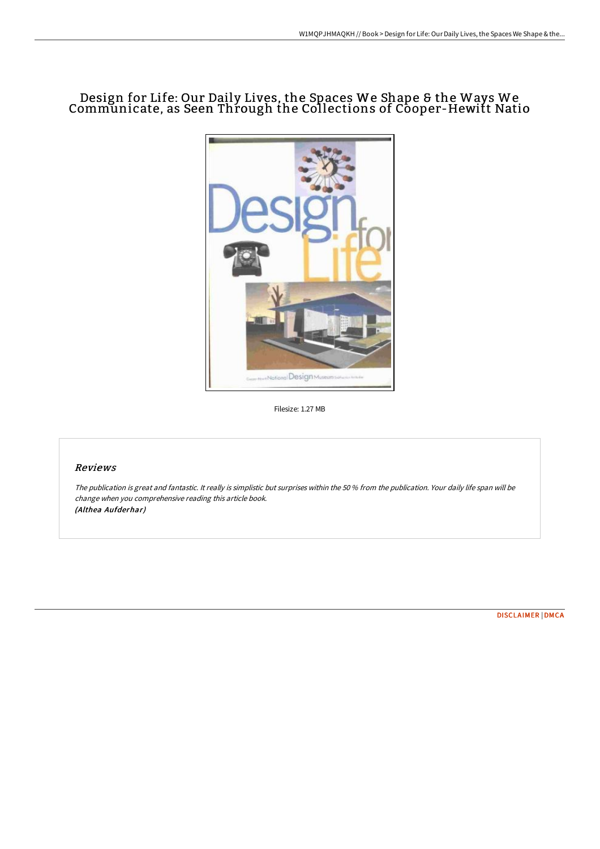# Design for Life: Our Daily Lives, the Spaces We Shape & the Ways We Communicate, as Seen Through the Collections of Cooper-Hewitt Natio



Filesize: 1.27 MB

## Reviews

The publication is great and fantastic. It really is simplistic but surprises within the <sup>50</sup> % from the publication. Your daily life span will be change when you comprehensive reading this article book. (Althea Aufderhar)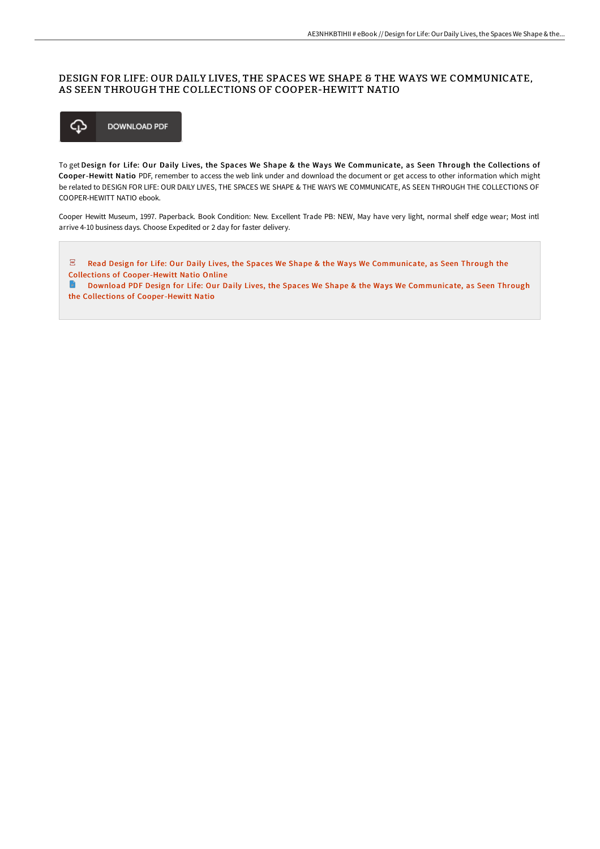### DESIGN FOR LIFE: OUR DAILY LIVES, THE SPACES WE SHAPE & THE WAYS WE COMMUNICATE, AS SEEN THROUGH THE COLLECTIONS OF COOPER-HEWITT NATIO



To get Design for Life: Our Daily Lives, the Spaces We Shape & the Ways We Communicate, as Seen Through the Collections of Cooper-Hewitt Natio PDF, remember to access the web link under and download the document or get access to other information which might be related to DESIGN FOR LIFE: OUR DAILY LIVES, THE SPACES WE SHAPE & THE WAYS WE COMMUNICATE, AS SEEN THROUGH THE COLLECTIONS OF COOPER-HEWITT NATIO ebook.

Cooper Hewitt Museum, 1997. Paperback. Book Condition: New. Excellent Trade PB: NEW, May have very light, normal shelf edge wear; Most intl arrive 4-10 business days. Choose Expedited or 2 day for faster delivery.

 $\overline{\mathbf{P}^{\mathbf{p}}}$ Read Design for Life: Our Daily Lives, the Spaces We Shape & the Ways We [Communicate,](http://techno-pub.tech/design-for-life-our-daily-lives-the-spaces-we-sh.html) as Seen Through the Collections of Cooper-Hewitt Natio Online

**Download PDF Design for Life: Our Daily Lives, the Spaces We Shape & the Ways We [Communicate,](http://techno-pub.tech/design-for-life-our-daily-lives-the-spaces-we-sh.html) as Seen Through** the Collections of Cooper-Hewitt Natio